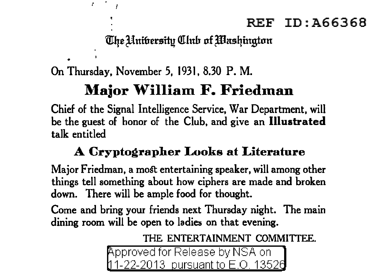## The Unibersity Club of Washington

On Thursday, November 5, 1931, 8.30 P. M.

 $\bullet$ 

# **Major William F. Friedman**

Chief of the Signal Intelligence Service, War Department, will be the guest of honor of the Club, and give an **Illustrated**  talk entitled

## **A Cryptographer Looks at Literature**

Major Friedman, a most entertaining speaker, will among other things tell something about how ciphers are made and broken down. There will be ample food for thought.

Come and bring your friends next Thursday night. The main dining room will be open to ladies on that evening.

THE ENTERTAINMENT COMMITTEE.

pproved for Release by NSA on 1-22-2013 pursuant to E.O. 13526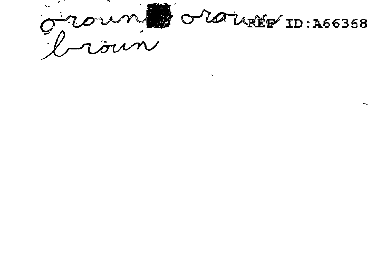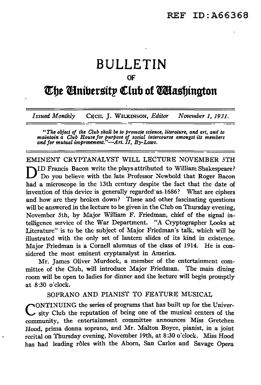# **BULLETIN**

#### OF

## **The Cinibersity Club of** *C***Hashington**

*Issued Monthly* CECIL J. WILKINSON, *Editor November 1, 1931.* 

--- \_,..,\_===-=- :-::-====:.=.....\_ .-=------:=-===========-=-

"The object of the Club shall be to promote science, literature, and art, and to<br>maintain a Club House for purpose of social intercourse amongst its members<br>and for mutual improvement."—Art. II, By-Laws.

EMINENT CRYPTANALYST WILL LECTURE NOVEMBER 5TH DID Francis Bacon write the plays attributed to William Shakespeare?<br>Do you believe with the late Professor Newbold that Roger Bacon had a microscope in the 13th century despite the fact that the date of invention of this device is generally regarded as 1686? What are ciphers and how arc they broken down? These and other fascinating questions will be answered in the lecture to be given in the Club on Thursday evening, November 5th, by Major William F. Friedman, chief of the signal intelligence service of the War Department. "A Cryptographer Looks at Literature" is to be the subject of Major Friedman's ta1k, which will be illustrated with the only set of lantern slides of its kind in existence. Major Friedman is a Cornell alumnus of the class of 1914. He is considered the most eminent cryptanalyst in America.

Mr. James Oliver Murdock, a member of the entertainment committee of the Club, will introduce Major Friedman. The main dining room will be open to ladies for dinner and the lecture wi11 begin promptly at 8:30 o'clock.

### SOPRANO AND PIANIST TO FEATURE MUSICAL

ONTINUING the series of programs that has built up for the University Club the reputation of being one of the musical centers of the community, the entertainment committee announces Miss Gretchen Hood, prima donna soprano, and Mr. Malton Boyce, pianist, in a joint recital on Thursday evening, November 19th, at 8:30 o'clock. Miss Hood has had leading rôles with the Aborn, San Carlos and Savage Opera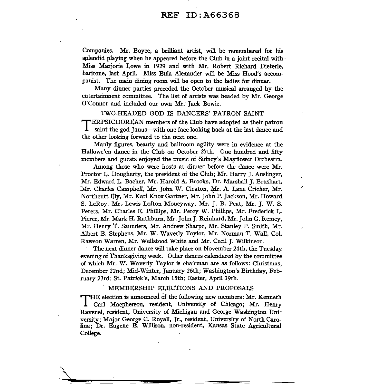Companies. Mr. Boyce, a brilliant artist, will be remembered for his splendid playing when he appeared before the Club in a joint recital with  $\cdot$ Miss Marjorie Lowe in 1929 and with Mr. Robert Richard Dieterle, baritone, last April. Miss Eula Alexander will be Miss Hood's accompanist. The main dining room will be open to the ladies for dinner.

Many dinner parties preceded the October musical arranged by the entertainment committee. The list of artists was headed by Mr. George O'Connor and included our own Mr.' Jack Bowie.

## TWO-HEADED GOD IS DANCERS' PATRON SAINT

TERPSICHOREAN members of the Club have adopted as their patron saint the god Janus—with one face looking back at the last dance and the other looking forward to the next one.

Manly figures, beauty and ballroom agility were in evidence at the Hallowe'en dance in the Club on October 27th. One hundred and fifty members and guests enjoyed the music of Sidney's Mayflower Orchestra.

Among those who were hosts at dinner before the dance were Mr. Proctor L. Dougherty, the president of the Club; Mr. Harry J. Anslinger, Mr. Edward L. Bacher, Mr. Harold A. Brooks, Dr. Marshall J. Brushart, Mr. Charles Campbell, Mr. John W. Cleaton, Mr. A. Lane Cricher, Mr. Northcutt Ely, Mr. Karl Knox Gartner, Mr. Joh~ P. Jackson, Mr. Howard S. LeRoy, Mr.· Lewis Lofton Moneyway, Mr. J. B. Peat, Mr. J. W. S. Peters, Mr. Charles E. Phillips, Mr. Percy W. Phillips, Mr. Frederick L. Pierce, Mr. Mark H. Rathburn, Mr. John J. Reinhard, Mr. John G. Remey, Mr. Henry T. Saunders, Mr. Andrew Sharpe, Mr. Stanley P. Smith, Mr. Albert E. Stephens, Mr. W. Waverly Taylor, Mr. Norman T. Wall, Col. Rawson Warren, Mr. Wellstood White and Mr. Cecil J. Wilkinson.

· The next dinner dance will take place on November 24th, the Tuesday. evening of Thanksgiving week. Other dances calendared by the committee of which Mr. W. Waverly Taylor is chairman are as follows: Christmas, December 22nd; Mid-Winter, January 26th; Washington's Birthday, February 23rd; St. Patrick's, March 15th; Easter, April 19th.

#### . MEMBERSHIP ELECTIONS AND PROPOSALS

THE election is announced of the following new members: Mr. Kenneth Carl Macpherson, resident, University of Chicago; Mr. Henry Ravenel, resident, University of Michigan and George Washington University; Major George C. Royall, Jr., resident, University of North Carolina; Dr. Eugene E. Willison, non-resident, Kansas State Agricultural College.

 $\overline{\mathcal{N}}$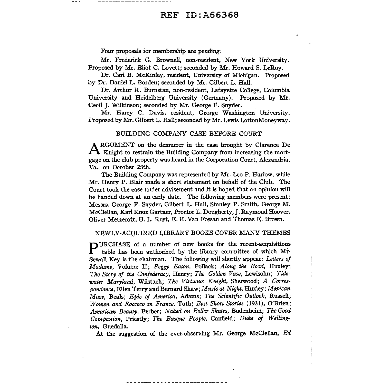Four proposals for membership are pending:

Mr. Frederick G. Brownell, non-resident, New York University. Proposed by Mr. Eliot C. Lovett; seconded by Mr. Howard S. LeRoy.

Dr. Carl B. McKinley, resident, University of Michigan. Proposed by Dr. Daniel L. Borden; seconded by Mr. Gilbert L. Hall. '

Dr. Arthur R. Bumstan, non-resident, Lafayette College, Columbia University and Heidelberg University (Germany). Proposed by Mr. Cecil J. Wilkinson; seconded by Mr. George F. Snyder.

Mr. Harry C. Davis,. resident, George Washington. University. Proposed by Mr. Gilbert L. Hall; seconded by Mr. Lewis LoftonMoneyway.

#### BUILDING COMPANY CASE BEFORE COURT

ARGUMENT on the demurrer in the case brought by Clarence De Knight to restrain the Building Company from increasing the mortgage on the club property was heard in "the Corporation Court, Alexandria, Va., on October 28th.

The Building Company was represented by Mr. Leo P. Harlow, while Mr. Henry P. Blair made a short statement on behalf of the Club. The Court took the case under advisement and it is hoped that an opinion will be handed down at an early date. The following members were present: Messrs. George F. Snyder, Gilbert L. Hall, Stanley P. Smith, George M. McClellan, Karl Knox Gartner, Proctor L. Dougherty, J. Raymond Hoover, Oliver Metzerott, H. L. Rust, E. H. Van Fossan and Thomas E. Brown.

#### NEWLY-ACQUIRED LIBRARY BOOKS COVER MANY THEMES

 $\blacksquare$ URCHASE of a number of new books for the recent-acquisitions table has been authorized by the library committee of which Mr· Sewall Key is the chairman. The following will shortly appear: *Letters of Madame,* Volume II; *Peggy Eaton,* Pollack; *Along the Road,* Huxley; *The Story of the Confederacy,* Henry; *The Golden Vase,* Lewisohn; *Tidewater Maryland,* Wilstach; *The Virtuous Knight,* Sherwood; *A Correspondence,* Ellen Terry and Bernard Shaw;Musicat *Night,* Huxley; *Mexican-Maze,* Beals; *Epic of America,* Adams; *The Scientific Outlook,* Russell; *Women and Roccoco in France,* Toth; *Best Short Stories* (1931), O'Brien; *American Beauty,* Ferber; *Naked* on *RoUer Skates,* Bodenheim; *The Good Companion,* Priestly; *The Basque People,* Canfield; *Duke of Wellington,* Guedalla.

At the suggestion of the ever-observing Mr. George McClellan, Ed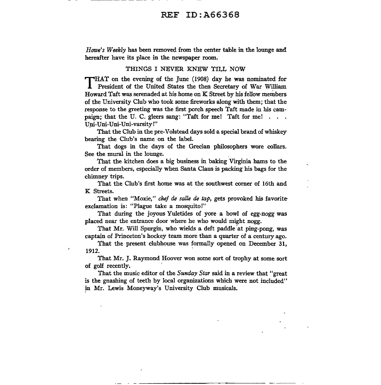*Howe's Weekly* has been removed from the center table in the lounge and hereafter have its place in the newspaper room.

#### THINGS I NEVER KNEW TILL NOW

THAT on the evening of the June (1908) day he was nominated for President of the United States the then Secretary of War William Howard Taft was serenaded at his home on K Street by his fellow members of the University Club who took some fireworks along with them; that the response to the greeting was the first porch speech Taft made in his campaign; that the U. C. gleers sang: "Taft for me! Taft for me! . . . Uni-Uni-Uni-varsity!"

That the Club in the pre-Volstead days sold a special brand of whiskey bearing the Club's name on the label.

That dogs in the days of the Grecian philosophers wore collars. See the mural in the lounge.

That the kitchen does a big business in baking Virginia hams to the order of members, especially when Santa Claus is packing his bags for the chimney trips.

That the Club's first home was at the southwest comer of 16th and K Streets.

That when "Moxie," *chef de salle de tap,* gets provoked his favoriteexclamation is: "Plague take a mosquito!"

That during the joyous Yuletides of yore a bowl of egg-nogg was placed near the entrance door where he who would might nogg.

That Mr. Will Spurgin, who wields a deft paddle 'at ping-pong, was captain of Princeton's hockey team more than a quarter of a century ago.

That the present clubhouse was formally opened on December 31, 1912.

That Mr. J. Raymond Hoover won some sort of trophy at some sort of golf recently.

That the music editor of the *Sunday Star* said in a review that "great is the gnashing of teeth by local organizations which were not included" in Mr. Lewis Moneyway's University Club musicals.